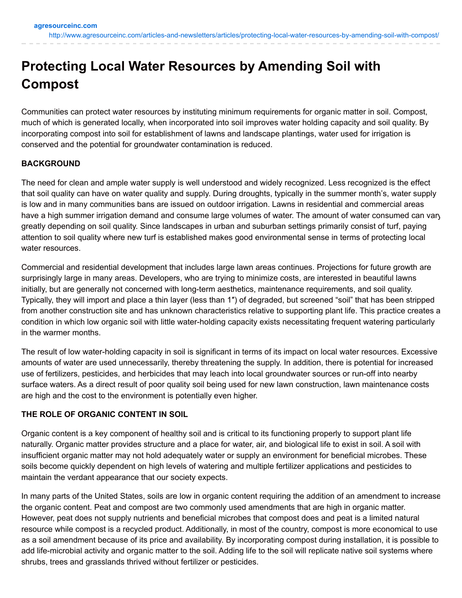# **Protecting Local Water Resources by Amending Soil with Compost**

Communities can protect water resources by instituting minimum requirements for organic matter in soil. Compost, much of which is generated locally, when incorporated into soil improves water holding capacity and soil quality. By incorporating compost into soil for establishment of lawns and landscape plantings, water used for irrigation is conserved and the potential for groundwater contamination is reduced.

## **BACKGROUND**

The need for clean and ample water supply is well understood and widely recognized. Less recognized is the effect that soil quality can have on water quality and supply. During droughts, typically in the summer month's, water supply is low and in many communities bans are issued on outdoor irrigation. Lawns in residential and commercial areas have a high summer irrigation demand and consume large volumes of water. The amount of water consumed can vary greatly depending on soil quality. Since landscapes in urban and suburban settings primarily consist of turf, paying attention to soil quality where new turf is established makes good environmental sense in terms of protecting local water resources.

Commercial and residential development that includes large lawn areas continues. Projections for future growth are surprisingly large in many areas. Developers, who are trying to minimize costs, are interested in beautiful lawns initially, but are generally not concerned with long-term aesthetics, maintenance requirements, and soil quality. Typically, they will import and place a thin layer (less than 1″) of degraded, but screened "soil" that has been stripped from another construction site and has unknown characteristics relative to supporting plant life. This practice creates a condition in which low organic soil with little water-holding capacity exists necessitating frequent watering particularly in the warmer months.

The result of low water-holding capacity in soil is significant in terms of its impact on local water resources. Excessive amounts of water are used unnecessarily, thereby threatening the supply. In addition, there is potential for increased use of fertilizers, pesticides, and herbicides that may leach into local groundwater sources or run-off into nearby surface waters. As a direct result of poor quality soil being used for new lawn construction, lawn maintenance costs are high and the cost to the environment is potentially even higher.

### **THE ROLE OF ORGANIC CONTENT IN SOIL**

Organic content is a key component of healthy soil and is critical to its functioning properly to support plant life naturally. Organic matter provides structure and a place for water, air, and biological life to exist in soil. A soil with insufficient organic matter may not hold adequately water or supply an environment for beneficial microbes. These soils become quickly dependent on high levels of watering and multiple fertilizer applications and pesticides to maintain the verdant appearance that our society expects.

In many parts of the United States, soils are low in organic content requiring the addition of an amendment to increase the organic content. Peat and compost are two commonly used amendments that are high in organic matter. However, peat does not supply nutrients and beneficial microbes that compost does and peat is a limited natural resource while compost is a recycled product. Additionally, in most of the country, compost is more economical to use as a soil amendment because of its price and availability. By incorporating compost during installation, it is possible to add life-microbial activity and organic matter to the soil. Adding life to the soil will replicate native soil systems where shrubs, trees and grasslands thrived without fertilizer or pesticides.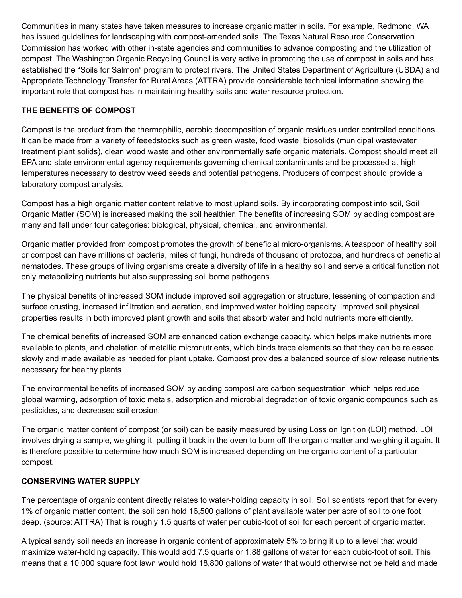Communities in many states have taken measures to increase organic matter in soils. For example, Redmond, WA has issued guidelines for landscaping with compost-amended soils. The Texas Natural Resource Conservation Commission has worked with other in-state agencies and communities to advance composting and the utilization of compost. The Washington Organic Recycling Council is very active in promoting the use of compost in soils and has established the "Soils for Salmon" program to protect rivers. The United States Department of Agriculture (USDA) and Appropriate Technology Transfer for Rural Areas (ATTRA) provide considerable technical information showing the important role that compost has in maintaining healthy soils and water resource protection.

# **THE BENEFITS OF COMPOST**

Compost is the product from the thermophilic, aerobic decomposition of organic residues under controlled conditions. It can be made from a variety of feeedstocks such as green waste, food waste, biosolids (municipal wastewater treatment plant solids), clean wood waste and other environmentally safe organic materials. Compost should meet all EPA and state environmental agency requirements governing chemical contaminants and be processed at high temperatures necessary to destroy weed seeds and potential pathogens. Producers of compost should provide a laboratory compost analysis.

Compost has a high organic matter content relative to most upland soils. By incorporating compost into soil, Soil Organic Matter (SOM) is increased making the soil healthier. The benefits of increasing SOM by adding compost are many and fall under four categories: biological, physical, chemical, and environmental.

Organic matter provided from compost promotes the growth of beneficial micro-organisms. A teaspoon of healthy soil or compost can have millions of bacteria, miles of fungi, hundreds of thousand of protozoa, and hundreds of beneficial nematodes. These groups of living organisms create a diversity of life in a healthy soil and serve a critical function not only metabolizing nutrients but also suppressing soil borne pathogens.

The physical benefits of increased SOM include improved soil aggregation or structure, lessening of compaction and surface crusting, increased infiltration and aeration, and improved water holding capacity. Improved soil physical properties results in both improved plant growth and soils that absorb water and hold nutrients more efficiently.

The chemical benefits of increased SOM are enhanced cation exchange capacity, which helps make nutrients more available to plants, and chelation of metallic micronutrients, which binds trace elements so that they can be released slowly and made available as needed for plant uptake. Compost provides a balanced source of slow release nutrients necessary for healthy plants.

The environmental benefits of increased SOM by adding compost are carbon sequestration, which helps reduce global warming, adsorption of toxic metals, adsorption and microbial degradation of toxic organic compounds such as pesticides, and decreased soil erosion.

The organic matter content of compost (or soil) can be easily measured by using Loss on Ignition (LOI) method. LOI involves drying a sample, weighing it, putting it back in the oven to burn off the organic matter and weighing it again. It is therefore possible to determine how much SOM is increased depending on the organic content of a particular compost.

# **CONSERVING WATER SUPPLY**

The percentage of organic content directly relates to water-holding capacity in soil. Soil scientists report that for every 1% of organic matter content, the soil can hold 16,500 gallons of plant available water per acre of soil to one foot deep. (source: ATTRA) That is roughly 1.5 quarts of water per cubic-foot of soil for each percent of organic matter.

A typical sandy soil needs an increase in organic content of approximately 5% to bring it up to a level that would maximize water-holding capacity. This would add 7.5 quarts or 1.88 gallons of water for each cubic-foot of soil. This means that a 10,000 square foot lawn would hold 18,800 gallons of water that would otherwise not be held and made